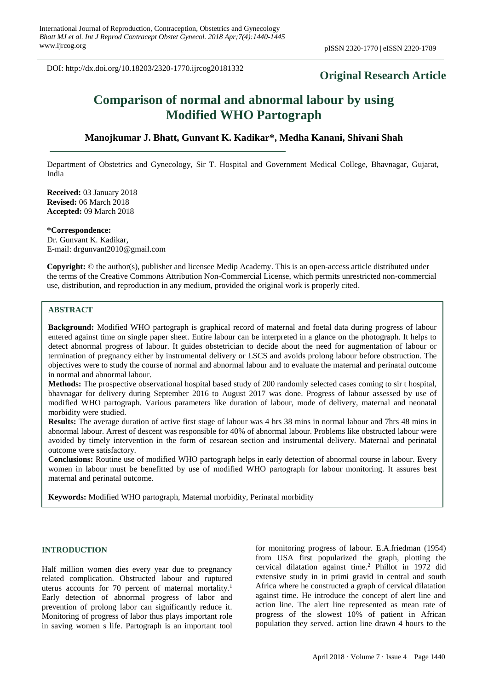DOI: http://dx.doi.org/10.18203/2320-1770.ijrcog20181332

## **Original Research Article**

# **Comparison of normal and abnormal labour by using Modified WHO Partograph**

## **Manojkumar J. Bhatt, Gunvant K. Kadikar\*, Medha Kanani, Shivani Shah**

Department of Obstetrics and Gynecology, Sir T. Hospital and Government Medical College, Bhavnagar, Gujarat, India

**Received:** 03 January 2018 **Revised:** 06 March 2018 **Accepted:** 09 March 2018

**\*Correspondence:** Dr. Gunvant K. Kadikar, E-mail: drgunvant2010@gmail.com

**Copyright:** © the author(s), publisher and licensee Medip Academy. This is an open-access article distributed under the terms of the Creative Commons Attribution Non-Commercial License, which permits unrestricted non-commercial use, distribution, and reproduction in any medium, provided the original work is properly cited.

#### **ABSTRACT**

**Background:** Modified WHO partograph is graphical record of maternal and foetal data during progress of labour entered against time on single paper sheet. Entire labour can be interpreted in a glance on the photograph. It helps to detect abnormal progress of labour. It guides obstetrician to decide about the need for augmentation of labour or termination of pregnancy either by instrumental delivery or LSCS and avoids prolong labour before obstruction. The objectives were to study the course of normal and abnormal labour and to evaluate the maternal and perinatal outcome in normal and abnormal labour.

**Methods:** The prospective observational hospital based study of 200 randomly selected cases coming to sir t hospital, bhavnagar for delivery during September 2016 to August 2017 was done. Progress of labour assessed by use of modified WHO partograph. Various parameters like duration of labour, mode of delivery, maternal and neonatal morbidity were studied.

**Results:** The average duration of active first stage of labour was 4 hrs 38 mins in normal labour and 7hrs 48 mins in abnormal labour. Arrest of descent was responsible for 40% of abnormal labour. Problems like obstructed labour were avoided by timely intervention in the form of cesarean section and instrumental delivery. Maternal and perinatal outcome were satisfactory.

**Conclusions:** Routine use of modified WHO partograph helps in early detection of abnormal course in labour. Every women in labour must be benefitted by use of modified WHO partograph for labour monitoring. It assures best maternal and perinatal outcome.

**Keywords:** Modified WHO partograph, Maternal morbidity, Perinatal morbidity

### **INTRODUCTION**

Half million women dies every year due to pregnancy related complication. Obstructed labour and ruptured uterus accounts for 70 percent of maternal mortality.<sup>1</sup> Early detection of abnormal progress of labor and prevention of prolong labor can significantly reduce it. Monitoring of progress of labor thus plays important role in saving women s life. Partograph is an important tool for monitoring progress of labour. E.A.friedman (1954) from USA first popularized the graph, plotting the cervical dilatation against time. <sup>2</sup> Phillot in 1972 did extensive study in in primi gravid in central and south Africa where he constructed a graph of cervical dilatation against time. He introduce the concept of alert line and action line. The alert line represented as mean rate of progress of the slowest 10% of patient in African population they served. action line drawn 4 hours to the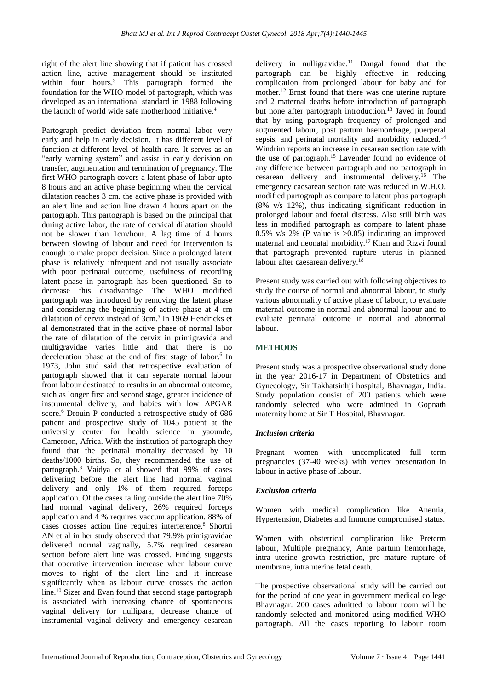right of the alert line showing that if patient has crossed action line, active management should be instituted within four hours.<sup>3</sup> This partograph formed the foundation for the WHO model of partograph, which was developed as an international standard in 1988 following the launch of world wide safe motherhood initiative. 4

Partograph predict deviation from normal labor very early and help in early decision. It has different level of function at different level of health care. It serves as an "early warning system" and assist in early decision on transfer, augmentation and termination of pregnancy. The first WHO partograph covers a latent phase of labor upto 8 hours and an active phase beginning when the cervical dilatation reaches 3 cm. the active phase is provided with an alert line and action line drawn 4 hours apart on the partograph. This partograph is based on the principal that during active labor, the rate of cervical dilatation should not be slower than 1cm/hour. A lag time of 4 hours between slowing of labour and need for intervention is enough to make proper decision. Since a prolonged latent phase is relatively infrequent and not usually associate with poor perinatal outcome, usefulness of recording latent phase in partograph has been questioned. So to decrease this disadvantage The WHO modified partograph was introduced by removing the latent phase and considering the beginning of active phase at 4 cm dilatation of cervix instead of 3cm.<sup>5</sup> In 1969 Hendricks et al demonstrated that in the active phase of normal labor the rate of dilatation of the cervix in primigravida and multigravidae varies little and that there is no deceleration phase at the end of first stage of labor.<sup>6</sup> In 1973, John stud said that retrospective evaluation of partograph showed that it can separate normal labour from labour destinated to results in an abnormal outcome, such as longer first and second stage, greater incidence of instrumental delivery, and babies with low APGAR score.<sup>6</sup> Drouin P conducted a retrospective study of 686 patient and prospective study of 1045 patient at the university center for health science in yaounde, Cameroon, Africa. With the institution of partograph they found that the perinatal mortality decreased by 10 deaths/1000 births. So, they recommended the use of partograph. <sup>8</sup> Vaidya et al showed that 99% of cases delivering before the alert line had normal vaginal delivery and only 1% of them required forceps application. Of the cases falling outside the alert line 70% had normal vaginal delivery, 26% required forceps application and 4 % requires vaccum application. 88% of cases crosses action line requires interference. <sup>8</sup> Shortri AN et al in her study observed that 79.9% primigravidae delivered normal vaginally, 5.7% required cesarean section before alert line was crossed. Finding suggests that operative intervention increase when labour curve moves to right of the alert line and it increase significantly when as labour curve crosses the action line. <sup>10</sup> Sizer and Evan found that second stage partograph is associated with increasing chance of spontaneous vaginal delivery for nullipara, decrease chance of instrumental vaginal delivery and emergency cesarean

delivery in nulligravidae. <sup>11</sup> Dangal found that the partograph can be highly effective in reducing complication from prolonged labour for baby and for mother. <sup>12</sup> Ernst found that there was one uterine rupture and 2 maternal deaths before introduction of partograph but none after partograph introduction. <sup>13</sup> Javed in found that by using partograph frequency of prolonged and augmented labour, post partum haemorrhage, puerperal sepsis, and perinatal mortality and morbidity reduced.<sup>14</sup> Windrim reports an increase in cesarean section rate with the use of partograph. <sup>15</sup> Lavender found no evidence of any difference between partograph and no partograph in cesarean delivery and instrumental delivery. <sup>16</sup> The emergency caesarean section rate was reduced in W.H.O. modified partograph as compare to latent phas partograph (8% v/s 12%), thus indicating significant reduction in prolonged labour and foetal distress. Also still birth was less in modified partograph as compare to latent phase 0.5% v/s 2% (P value is >0.05) indicating an improved maternal and neonatal morbidity. <sup>17</sup>Khan and Rizvi found that partograph prevented rupture uterus in planned labour after caesarean delivery. 18

Present study was carried out with following objectives to study the course of normal and abnormal labour, to study various abnormality of active phase of labour, to evaluate maternal outcome in normal and abnormal labour and to evaluate perinatal outcome in normal and abnormal labour.

## **METHODS**

Present study was a prospective observational study done in the year 2016-17 in Department of Obstetrics and Gynecology, Sir Takhatsinhji hospital, Bhavnagar, India. Study population consist of 200 patients which were randomly selected who were admitted in Gopnath maternity home at Sir T Hospital, Bhavnagar.

#### *Inclusion criteria*

Pregnant women with uncomplicated full term pregnancies (37-40 weeks) with vertex presentation in labour in active phase of labour.

#### *Exclusion criteria*

Women with medical complication like Anemia, Hypertension, Diabetes and Immune compromised status.

Women with obstetrical complication like Preterm labour, Multiple pregnancy, Ante partum hemorrhage, intra uterine growth restriction, pre mature rupture of membrane, intra uterine fetal death.

The prospective observational study will be carried out for the period of one year in government medical college Bhavnagar. 200 cases admitted to labour room will be randomly selected and monitored using modified WHO partograph. All the cases reporting to labour room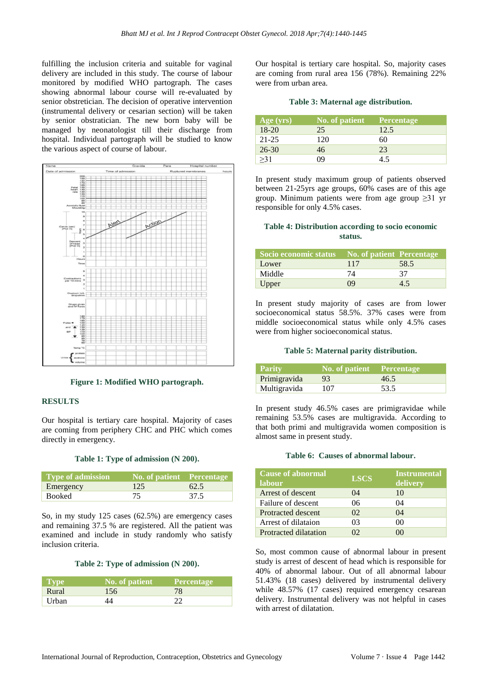fulfilling the inclusion criteria and suitable for vaginal delivery are included in this study. The course of labour monitored by modified WHO partograph. The cases showing abnormal labour course will re-evaluated by senior obstretician. The decision of operative intervention (instrumental delivery or cesarian section) will be taken by senior obstratician. The new born baby will be managed by neonatologist till their discharge from hospital. Individual partograph will be studied to know the various aspect of course of labour.



**Figure 1: Modified WHO partograph.**

#### **RESULTS**

Our hospital is tertiary care hospital. Majority of cases are coming from periphery CHC and PHC which comes directly in emergency.

#### **Table 1: Type of admission (N 200).**

| Type of admission | $\sqrt{N_0}$ No. of patient Percentage |      |
|-------------------|----------------------------------------|------|
| Emergency         | 125                                    | 62.5 |
| Booked            |                                        | 37.5 |

So, in my study 125 cases (62.5%) are emergency cases and remaining 37.5 % are registered. All the patient was examined and include in study randomly who satisfy inclusion criteria.

#### **Table 2: Type of admission (N 200).**

| <b>Type</b>        | No. of patient | Percentage |
|--------------------|----------------|------------|
| Rural              | 156            | 78         |
| Urban <sup>t</sup> |                |            |

Our hospital is tertiary care hospital. So, majority cases are coming from rural area 156 (78%). Remaining 22% were from urban area.

#### **Table 3: Maternal age distribution.**

| Age(yrs)  | No. of patient | Percentage |
|-----------|----------------|------------|
| $18-20$   | 25             | 12.5       |
| $21 - 25$ | 120            | 60         |
| $26 - 30$ | 46             | 23         |
| >31       | 10             | 4.5        |

In present study maximum group of patients observed between 21-25yrs age groups, 60% cases are of this age group. Minimum patients were from age group ≥31 yr responsible for only 4.5% cases.

#### **Table 4: Distribution according to socio economic status.**

| Socio economic status No. of patient Percentage |     |      |
|-------------------------------------------------|-----|------|
| Lower                                           | 117 | 58.5 |
| Middle                                          | 74  | 37   |
| Upper                                           | 09  | 4.5  |

In present study majority of cases are from lower socioeconomical status 58.5%. 37% cases were from middle socioeconomical status while only 4.5% cases were from higher socioeconomical status.

#### **Table 5: Maternal parity distribution.**

| <b>Parity</b> | No. of patient Percentage |      |
|---------------|---------------------------|------|
| Primigravida  | 93                        | 46.5 |
| Multigravida  | 107                       | 53.5 |

In present study 46.5% cases are primigravidae while remaining 53.5% cases are multigravida. According to that both primi and multigravida women composition is almost same in present study.

#### **Table 6: Causes of abnormal labour.**

| <b>Cause of abnormal</b><br>labour | <b>LSCS</b> | <b>Instrumental</b><br>delivery |
|------------------------------------|-------------|---------------------------------|
| Arrest of descent                  | (1)4        | 10                              |
| Failure of descent                 | 06          | 04                              |
| <b>Protracted descent</b>          | 02          | 04                              |
| Arrest of dilataion                | 03          | $($ )(                          |
| Protracted dilatation              |             |                                 |

So, most common cause of abnormal labour in present study is arrest of descent of head which is responsible for 40% of abnormal labour. Out of all abnormal labour 51.43% (18 cases) delivered by instrumental delivery while 48.57% (17 cases) required emergency cesarean delivery. Instrumental delivery was not helpful in cases with arrest of dilatation.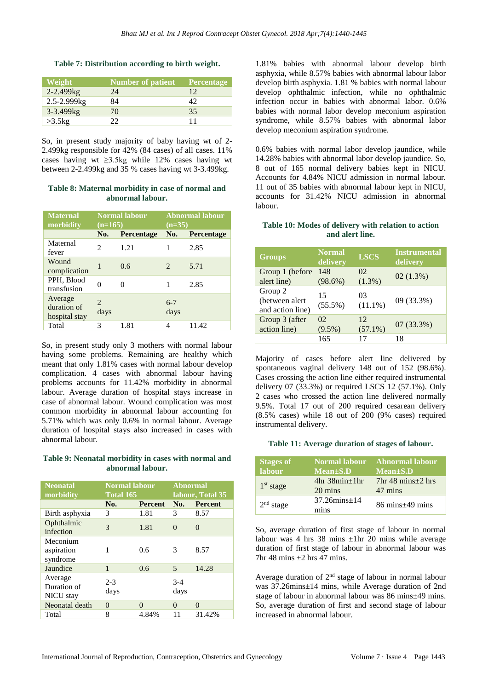#### **Table 7: Distribution according to birth weight.**

| Weight         | <b>Number of patient</b> | Percentage |
|----------------|--------------------------|------------|
| $2 - 2.499$ kg | 24                       | 12         |
| 2.5-2.999kg    | 84                       | 42         |
| 3-3.499kg      | 70                       | 35         |
| $>3.5$ kg      | つつ                       | 11         |

So, in present study majority of baby having wt of 2- 2.499kg responsible for 42% (84 cases) of all cases. 11% cases having wt ≥3.5kg while 12% cases having wt between 2-2.499kg and 35 % cases having wt 3-3.499kg.

#### **Table 8: Maternal morbidity in case of normal and abnormal labour.**

| <b>Maternal</b><br>morbidity            | <b>Normal labour</b><br>$(n=165)$ |            | <b>Abnormal labour</b><br>$(n=35)$ |                   |
|-----------------------------------------|-----------------------------------|------------|------------------------------------|-------------------|
|                                         | No.                               | Percentage | No.                                | <b>Percentage</b> |
| Maternal<br>fever                       | $\mathcal{L}$                     | 1.21       | 1                                  | 2.85              |
| Wound<br>complication                   | 1                                 | 0.6        | $\mathcal{D}_{\mathcal{A}}$        | 5.71              |
| PPH, Blood<br>transfusion               | 0                                 | ∩          |                                    | 2.85              |
| Average<br>duration of<br>hospital stay | $\overline{c}$<br>days            |            | $6 - 7$<br>days                    |                   |
| Total                                   | 3                                 | 1.81       | 4                                  | 11.42             |

So, in present study only 3 mothers with normal labour having some problems. Remaining are healthy which meant that only 1.81% cases with normal labour develop complication. 4 cases with abnormal labour having problems accounts for 11.42% morbidity in abnormal labour. Average duration of hospital stays increase in case of abnormal labour. Wound complication was most common morbidity in abnormal labour accounting for 5.71% which was only 0.6% in normal labour. Average duration of hospital stays also increased in cases with abnormal labour.

#### **Table 9: Neonatal morbidity in cases with normal and abnormal labour.**

| <b>Neonatal</b><br>morbidity        | <b>Normal labour</b><br><b>Total 165</b> |                | <b>Abnormal</b><br>labour, Total 35 |                |  |
|-------------------------------------|------------------------------------------|----------------|-------------------------------------|----------------|--|
|                                     | No.                                      | <b>Percent</b> | No.                                 | <b>Percent</b> |  |
| Birth asphyxia                      | 3                                        | 1.81           | 3                                   | 8.57           |  |
| Ophthalmic<br>infection             | 3                                        | 1.81           | 0                                   | 0              |  |
| Meconium<br>aspiration<br>syndrome  | 1                                        | 0.6            | 3                                   | 8.57           |  |
| Jaundice                            | 1                                        | 0.6            | 5                                   | 14.28          |  |
| Average<br>Duration of<br>NICU stay | $2 - 3$<br>days                          |                | $3-4$<br>days                       |                |  |
| Neonatal death                      | $\Omega$                                 | 0              | $\Omega$                            | 0              |  |
| Total                               | 8                                        | 4.84%          | 11                                  | 31.42%         |  |

1.81% babies with abnormal labour develop birth asphyxia, while 8.57% babies with abnormal labour labor develop birth asphyxia. 1.81 % babies with normal labour develop ophthalmic infection, while no ophthalmic infection occur in babies with abnormal labor. 0.6% babies with normal labor develop meconium aspiration syndrome, while 8.57% babies with abnormal labor develop meconium aspiration syndrome.

0.6% babies with normal labor develop jaundice, while 14.28% babies with abnormal labor develop jaundice. So, 8 out of 165 normal delivery babies kept in NICU. Accounts for 4.84% NICU admission in normal labour. 11 out of 35 babies with abnormal labour kept in NICU, accounts for 31.42% NICU admission in abnormal labour.

#### **Table 10: Modes of delivery with relation to action and alert line.**

| <b>Groups</b>                                 | <b>Normal</b><br>delivery | <b>LSCS</b>      | <b>Instrumental</b><br>delivery |
|-----------------------------------------------|---------------------------|------------------|---------------------------------|
| Group 1 (before)<br>alert line)               | 148<br>$(98.6\%)$         | 02<br>$(1.3\%)$  | 02(1.3%)                        |
| Group 2<br>(between alert<br>and action line) | 15<br>$(55.5\%)$          | 03<br>$(11.1\%)$ | 09 (33.3%)                      |
| Group 3 (after<br>action line)                | 02<br>$(9.5\%)$           | 12<br>$(57.1\%)$ | $07(33.3\%)$                    |
|                                               | 165                       | 17               | 18                              |

Majority of cases before alert line delivered by spontaneous vaginal delivery 148 out of 152 (98.6%). Cases crossing the action line either required instrumental delivery 07 (33.3%) or required LSCS 12 (57.1%). Only 2 cases who crossed the action line delivered normally 9.5%. Total 17 out of 200 required cesarean delivery (8.5% cases) while 18 out of 200 (9% cases) required instrumental delivery.

#### **Table 11: Average duration of stages of labour.**

| <b>Stages of</b><br>labour | Normal labour<br>$Mean \pm S.D$        | <b>Abnormal labour</b><br>Mean±S.D    |
|----------------------------|----------------------------------------|---------------------------------------|
| 1 <sup>st</sup> stage      | $4hr$ 38 $min_{\pm}$ 1 $hr$<br>20 mins | $7hr 48 mins \pm 2 hrs$<br>47 mins    |
| 2 <sup>nd</sup> stage      | $37.26 \text{mins} \pm 14$<br>mins     | $86 \text{ mins} \pm 49 \text{ mins}$ |

So, average duration of first stage of labour in normal labour was 4 hrs 38 mins ±1hr 20 mins while average duration of first stage of labour in abnormal labour was 7hr 48 mins  $\pm$ 2 hrs 47 mins.

Average duration of 2<sup>nd</sup> stage of labour in normal labour was 37.26mins±14 mins, while Average duration of 2nd stage of labour in abnormal labour was 86 mins±49 mins. So, average duration of first and second stage of labour increased in abnormal labour.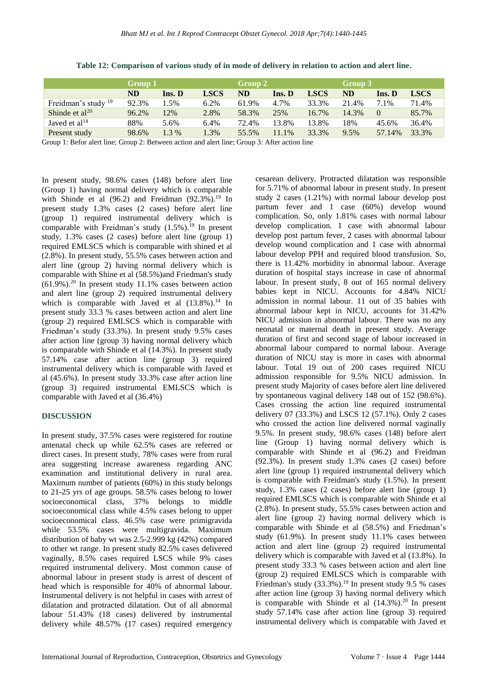|                                | Group 1 |        |             | Group 2 |        |             | Group 3   |          |             |
|--------------------------------|---------|--------|-------------|---------|--------|-------------|-----------|----------|-------------|
|                                | ND      | Ins. D | <b>LSCS</b> | ND      | Ins. D | <b>LSCS</b> | <b>ND</b> | Ins. D   | <b>LSCS</b> |
| Freidman's study <sup>19</sup> | 92.3%   | 1.5%   | 6.2%        | 61.9%   | 4.7%   | 33.3%       | 21.4%     | 7.1%     | 71.4%       |
| Shinde et $al^{20}$            | 96.2%   | 12%    | 2.8%        | 58.3%   | 25%    | 16.7%       | 14.3%     | $\theta$ | 85.7%       |
| Javed et $al14$                | 88%     | 5.6%   | 6.4%        | 72.4%   | 13.8%  | 13.8%       | 18%       | 45.6%    | 36.4%       |
| Present study                  | 98.6%   | 1.3%   | $.3\%$      | 55.5%   | 11.1%  | 33.3%       | 9.5%      | 57.14%   | 33.3%       |

**Table 12: Comparison of various study of in mode of delivery in relation to action and alert line.**

Group 1: Befor alert line; Group 2: Between action and alert line; Group 3: After action line

In present study, 98.6% cases (148) before alert line (Group 1) having normal delivery which is comparable with Shinde et al  $(96.2)$  and Freidman  $(92.3\%)$ .<sup>19</sup> In present study 1.3% cases (2 cases) before alert line (group 1) required instrumental delivery which is comparable with Freidman's study (1.5%). <sup>19</sup> In present study, 1.3% cases (2 cases) before alert line (group 1) required EMLSCS which is comparable with shined et al (2.8%). In present study, 55.5% cases between action and alert line (group 2) having normal delivery which is comparable with Shine et al (58.5%)and Friedman's study  $(61.9\%)$ .<sup>20</sup> In present study 11.1% cases between action and alert line (group 2) required instrumental delivery which is comparable with Javed et al  $(13.8\%)$ .<sup>14</sup> In present study 33.3 % cases between action and alert line (group 2) required EMLSCS which is comparable with Friedman's study (33.3%). In present study 9.5% cases after action line (group 3) having normal delivery which is comparable with Shinde et al (14.3%). In present study 57.14% case after action line (group 3) required instrumental delivery which is comparable with Javed et al (45.6%). In present study 33.3% case after action line (group 3) required instrumental EMLSCS which is comparable with Javed et al (36.4%)

#### **DISCUSSION**

In present study, 37.5% cases were registered for routine antenatal check up while 62.5% cases are referred or direct cases. In present study, 78% cases were from rural area suggesting increase awareness regarding ANC examination and institutional delivery in rural area. Maximum number of patients (60%) in this study belongs to 21-25 yrs of age groups. 58.5% cases belong to lower socioeconomical class, 37% belongs to middle socioeconomical class while 4.5% cases belong to upper socioeconomical class. 46.5% case were primigravida while 53.5% cases were multigravida. Maximum distribution of baby wt was 2.5-2.999 kg (42%) compared to other wt range. In present study 82.5% cases delivered vaginally, 8.5% cases required LSCS while 9% cases required instrumental delivery. Most common cause of abnormal labour in present study is arrest of descent of head which is responsible for 40% of abnormal labour. Instrumental delivery is not helpful in cases with arrest of dilatation and protracted dilatation. Out of all abnormal labour 51.43% (18 cases) delivered by instrumental delivery while 48.57% (17 cases) required emergency cesarean delivery. Protracted dilatation was responsible for 5.71% of abnormal labour in present study. In present study 2 cases (1.21%) with normal labour develop post partum fever and 1 case (60%) develop wound complication. So, only 1.81% cases with normal labour develop complication. 1 case with abnormal labour develop post partum fever, 2 cases with abnormal labour develop wound complication and 1 case with abnormal labour develop PPH and required blood transfusion. So, there is 11.42% morbidity in abnormal labour. Average duration of hospital stays increase in case of abnormal labour. In present study, 8 out of 165 normal delivery babies kept in NICU. Accounts for 4.84% NICU admission in normal labour. 11 out of 35 babies with abnormal labour kept in NICU, accounts for 31.42% NICU admission in abnormal labour. There was no any neonatal or maternal death in present study. Average duration of first and second stage of labour increased in abnormal labour compared to normal labour. Average duration of NICU stay is more in cases with abnormal labour. Total 19 out of 200 cases required NICU admission responsible for 9.5% NICU admission. In present study Majority of cases before alert line delivered by spontaneous vaginal delivery 148 out of 152 (98.6%). Cases crossing the action line required instrumental delivery 07 (33.3%) and LSCS 12 (57.1%). Only 2 cases who crossed the action line delivered normal vaginally 9.5%. In present study, 98.6% cases (148) before alert line (Group 1) having normal delivery which is comparable with Shinde et al (96.2) and Freidman (92.3%). In present study 1.3% cases (2 cases) before alert line (group 1) required instrumental delivery which is comparable with Freidman's study (1.5%). In present study, 1.3% cases (2 cases) before alert line (group 1) required EMLSCS which is comparable with Shinde et al (2.8%). In present study, 55.5% cases between action and alert line (group 2) having normal delivery which is comparable with Shinde et al (58.5%) and Friedman's study (61.9%). In present study 11.1% cases between action and alert line (group 2) required instrumental delivery which is comparable with Javed et al (13.8%). In present study 33.3 % cases between action and alert line (group 2) required EMLSCS which is comparable with Friedman's study (33.3%). <sup>19</sup> In present study 9.5 % cases after action line (group 3) having normal delivery which is comparable with Shinde et al  $(14.3\%)$ .<sup>20</sup> In present study 57.14% case after action line (group 3) required instrumental delivery which is comparable with Javed et